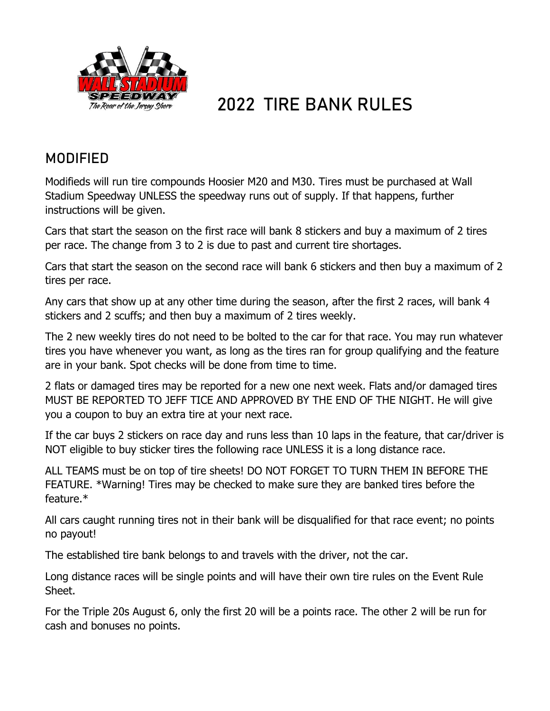

# **2022 TIRE BANK RULES**

## **MODIFIED**

Modifieds will run tire compounds Hoosier M20 and M30. Tires must be purchased at Wall Stadium Speedway UNLESS the speedway runs out of supply. If that happens, further instructions will be given.

Cars that start the season on the first race will bank 8 stickers and buy a maximum of 2 tires per race. The change from 3 to 2 is due to past and current tire shortages.

Cars that start the season on the second race will bank 6 stickers and then buy a maximum of 2 tires per race.

Any cars that show up at any other time during the season, after the first 2 races, will bank 4 stickers and 2 scuffs; and then buy a maximum of 2 tires weekly.

The 2 new weekly tires do not need to be bolted to the car for that race. You may run whatever tires you have whenever you want, as long as the tires ran for group qualifying and the feature are in your bank. Spot checks will be done from time to time.

2 flats or damaged tires may be reported for a new one next week. Flats and/or damaged tires MUST BE REPORTED TO JEFF TICE AND APPROVED BY THE END OF THE NIGHT. He will give you a coupon to buy an extra tire at your next race.

If the car buys 2 stickers on race day and runs less than 10 laps in the feature, that car/driver is NOT eligible to buy sticker tires the following race UNLESS it is a long distance race.

ALL TEAMS must be on top of tire sheets! DO NOT FORGET TO TURN THEM IN BEFORE THE FEATURE. \*Warning! Tires may be checked to make sure they are banked tires before the feature.\*

All cars caught running tires not in their bank will be disqualified for that race event; no points no payout!

The established tire bank belongs to and travels with the driver, not the car.

Long distance races will be single points and will have their own tire rules on the Event Rule Sheet.

For the Triple 20s August 6, only the first 20 will be a points race. The other 2 will be run for cash and bonuses no points.